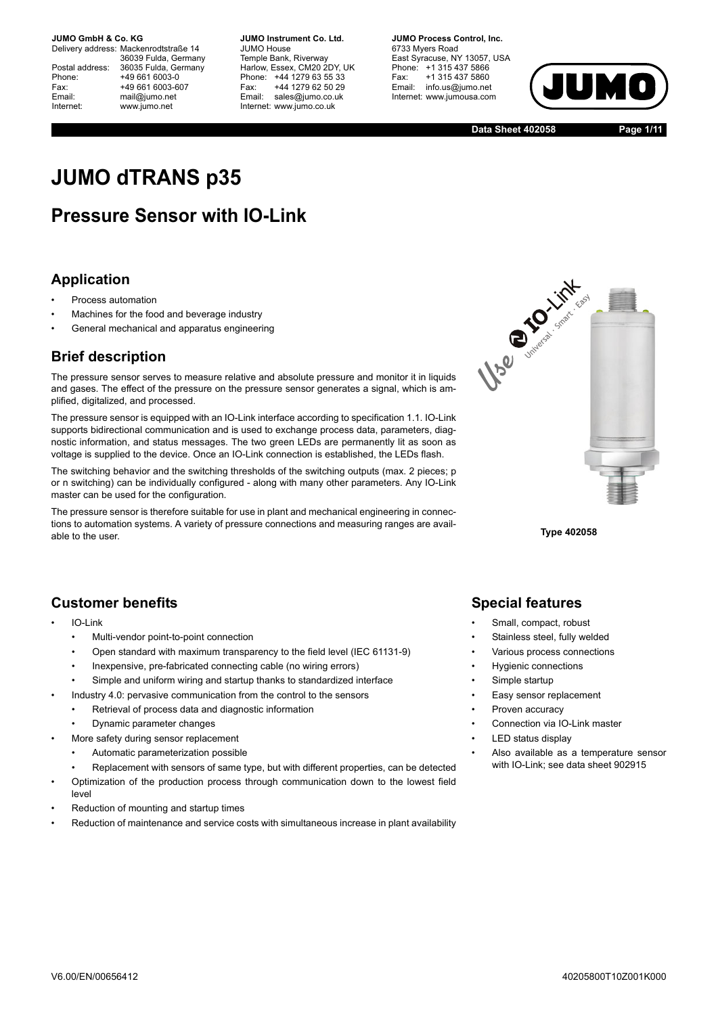Delivery address: Mackenrodtstraße 14 36039 Fulda, Germany Postal address: 36035 Fulda, Germany<br>Phone: +49 661 6003-0 Phone: +49 661 6003-0<br>Fax: +49 661 6003-6 Fax: +49 661 6003-607<br>
Fmail: mail@iumo.net mail@iumo.net Internet: www.jumo.net

**-BUMO Instrument Co. Ltd.** JUMO House Temple Bank, Riverway Harlow, Essex, CM20 2DY, UK Phone: +44 1279 63 55 33<br>Fax: +44 1279 62 50 29 Fax: +44 1279 62 50 29<br>Email: sales@iumo.co.uk sales@iumo.co.uk Internet: www.jumo.co.uk

**-BIMO Process Control Inc.** 6733 Myers Road East Syracuse, NY 13057, USA Phone: +1 315 437 5866<br>Fax: +1 315 437 5860 Fax: +1 315 437 5860<br>Email: info.us@jumo.net info.us@jumo.net Internet: www.iumousa.com



**Data Sheet 402058 Page 1/11**

# **JUMO dTRANS p35**

## **Pressure Sensor with IO-Link**

## **Application**

- Process automation
- Machines for the food and beverage industry
- General mechanical and apparatus engineering

### **Brief description**

The pressure sensor serves to measure relative and absolute pressure and monitor it in liquids and gases. The effect of the pressure on the pressure sensor generates a signal, which is amplified, digitalized, and processed.

The pressure sensor is equipped with an IO-Link interface according to specification 1.1. IO-Link supports bidirectional communication and is used to exchange process data, parameters, diagnostic information, and status messages. The two green LEDs are permanently lit as soon as voltage is supplied to the device. Once an IO-Link connection is established, the LEDs flash.

The switching behavior and the switching thresholds of the switching outputs (max. 2 pieces; p or n switching) can be individually configured - along with many other parameters. Any IO-Link master can be used for the configuration.

The pressure sensor is therefore suitable for use in plant and mechanical engineering in connections to automation systems. A variety of pressure connections and measuring ranges are available to the user. **Type 402058**



## **Customer benefits**

- IO-Link
	- Multi-vendor point-to-point connection
	- Open standard with maximum transparency to the field level (IEC 61131-9)
	- Inexpensive, pre-fabricated connecting cable (no wiring errors)
	- Simple and uniform wiring and startup thanks to standardized interface
	- Industry 4.0: pervasive communication from the control to the sensors
	- Retrieval of process data and diagnostic information
	- Dynamic parameter changes
- More safety during sensor replacement
	- Automatic parameterization possible
	- Replacement with sensors of same type, but with different properties, can be detected
- Optimization of the production process through communication down to the lowest field level
- Reduction of mounting and startup times
- Reduction of maintenance and service costs with simultaneous increase in plant availability

## **Special features**

- Small, compact, robust
- Stainless steel, fully welded
- Various process connections
- Hygienic connections
- Simple startup
- Easy sensor replacement
- Proven accuracy
- Connection via IO-Link master
- LED status display
- Also available as a temperature sensor with IO-Link; see data sheet 902915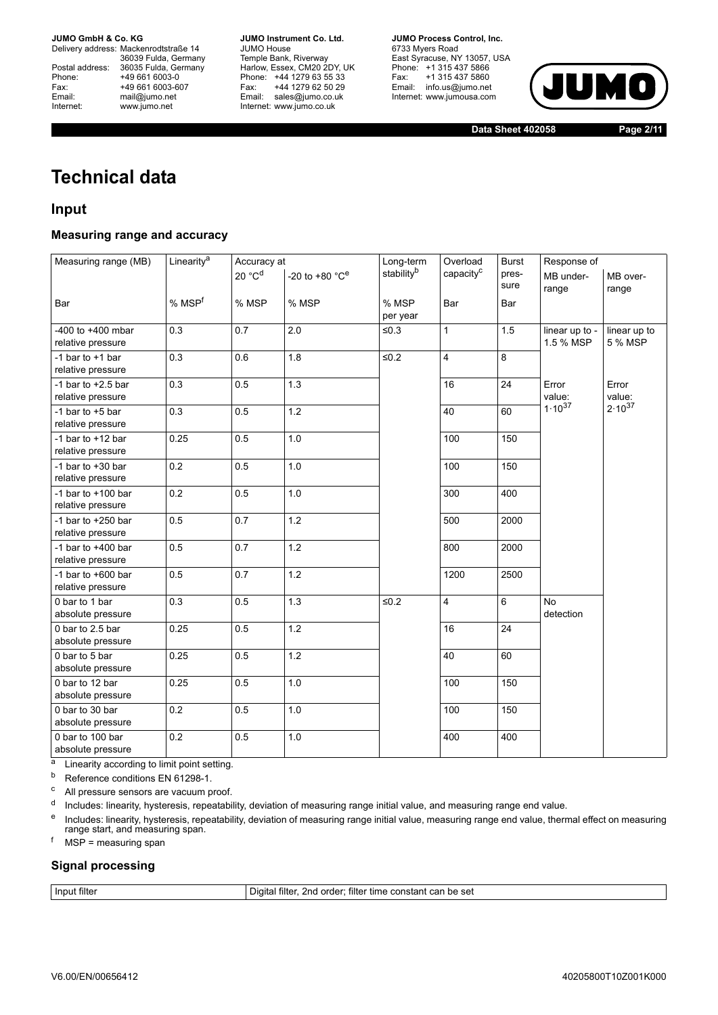Delivery address: Mackenrodtstraße 14 36039 Fulda, Germany<br>Postal address: 36035 Fulda, Germany Phone: +49 661 6003-0<br>
Fax: +49 661 6003-6<br>
Email: mail@jumo.net +49 661 6003-607 mail@jumo.net Internet: www.jumo.net

**JUMO Instrument Co. Ltd.** JUMO House Temple Bank, Riverway<br>Harlow, Essex, CM20 2DY, UK Phone: +44 1279 63 55 33<br>Fax: +44 1279 62 50 29 +44 1279 62 50 29 Email: sales@jumo.co.uk Internet: www.jumo.co.uk

**JUMO Process Control, Inc.** 6733 Myers Road East Syracuse, NY 13057, USA Phone: +1 315 437 5866<br>Fax: +1 315 437 5860 Email: info.us@jumo.net Internet: www.jumousa.com



**Data Sheet 402058 Page 2/11**

## **Technical data**

## **Input**

### **Measuring range and accuracy**

| Measuring range (MB)                       | Linearity <sup>a</sup> | Accuracy at        |                                      | Long-term         | Overload              | <b>Burst</b>  | Response of                 |                         |
|--------------------------------------------|------------------------|--------------------|--------------------------------------|-------------------|-----------------------|---------------|-----------------------------|-------------------------|
|                                            |                        | 20 °C <sup>d</sup> | -20 to +80 $^{\circ}$ C <sup>e</sup> | stabilityb        | capacity <sup>c</sup> | pres-<br>sure | MB under-<br>range          | MB over-<br>range       |
| Bar                                        | % MSP <sup>f</sup>     | % MSP              | % MSP                                | % MSP<br>per year | Bar                   | Bar           |                             |                         |
| $-400$ to $+400$ mbar<br>relative pressure | 0.3                    | 0.7                | 2.0                                  | $\leq 0.3$        | $\mathbf{1}$          | 1.5           | linear up to -<br>1.5 % MSP | linear up to<br>5 % MSP |
| -1 bar to $+1$ bar<br>relative pressure    | 0.3                    | 0.6                | 1.8                                  | $\leq 0.2$        | 4                     | 8             |                             |                         |
| -1 bar to $+2.5$ bar<br>relative pressure  | 0.3                    | 0.5                | 1.3                                  |                   | 16                    | 24            | Error<br>value:             | Error<br>value:         |
| -1 bar to $+5$ bar<br>relative pressure    | 0.3                    | 0.5                | 1.2                                  |                   | 40                    | 60            | $1.10^{37}$                 | $2.10^{37}$             |
| -1 bar to $+12$ bar<br>relative pressure   | 0.25                   | 0.5                | 1.0                                  |                   | 100                   | 150           |                             |                         |
| -1 bar to $+30$ bar<br>relative pressure   | 0.2                    | 0.5                | 1.0                                  |                   | 100                   | 150           |                             |                         |
| -1 bar to $+100$ bar<br>relative pressure  | 0.2                    | 0.5                | 1.0                                  |                   | 300                   | 400           |                             |                         |
| -1 bar to $+250$ bar<br>relative pressure  | 0.5                    | 0.7                | 1.2                                  |                   | 500                   | 2000          |                             |                         |
| -1 bar to $+400$ bar<br>relative pressure  | 0.5                    | 0.7                | 1.2                                  |                   | 800                   | 2000          |                             |                         |
| -1 bar to $+600$ bar<br>relative pressure  | 0.5                    | 0.7                | $1.2$                                |                   | 1200                  | 2500          |                             |                         |
| 0 bar to 1 bar<br>absolute pressure        | 0.3                    | 0.5                | 1.3                                  | $\leq 0.2$        | 4                     | 6             | <b>No</b><br>detection      |                         |
| 0 bar to 2.5 bar<br>absolute pressure      | 0.25                   | 0.5                | $1.2$                                |                   | 16                    | 24            |                             |                         |
| 0 bar to 5 bar<br>absolute pressure        | 0.25                   | 0.5                | 1.2                                  |                   | 40                    | 60            |                             |                         |
| 0 bar to 12 bar<br>absolute pressure       | 0.25                   | 0.5                | 1.0                                  |                   | 100                   | 150           |                             |                         |
| 0 bar to 30 bar<br>absolute pressure       | 0.2                    | 0.5                | 1.0                                  |                   | 100                   | 150           |                             |                         |
| 0 bar to 100 bar<br>absolute pressure      | 0.2                    | 0.5                | 1.0                                  |                   | 400                   | 400           |                             |                         |

<sup>a</sup> Linearity according to limit point setting.

b Reference conditions EN 61298-1.

<sup>c</sup> All pressure sensors are vacuum proof.

<sup>d</sup> Includes: linearity, hysteresis, repeatability, deviation of measuring range initial value, and measuring range end value.

<sup>e</sup> Includes: linearity, hysteresis, repeatability, deviation of measuring range initial value, measuring range end value, thermal effect on measuring<br>range start, and measuring span.

 $<sup>f</sup>$  MSP = measuring span</sup>

### **Signal processing**

Input filter **Input filter Input filter Input filter Input filter Input filter Input filter In**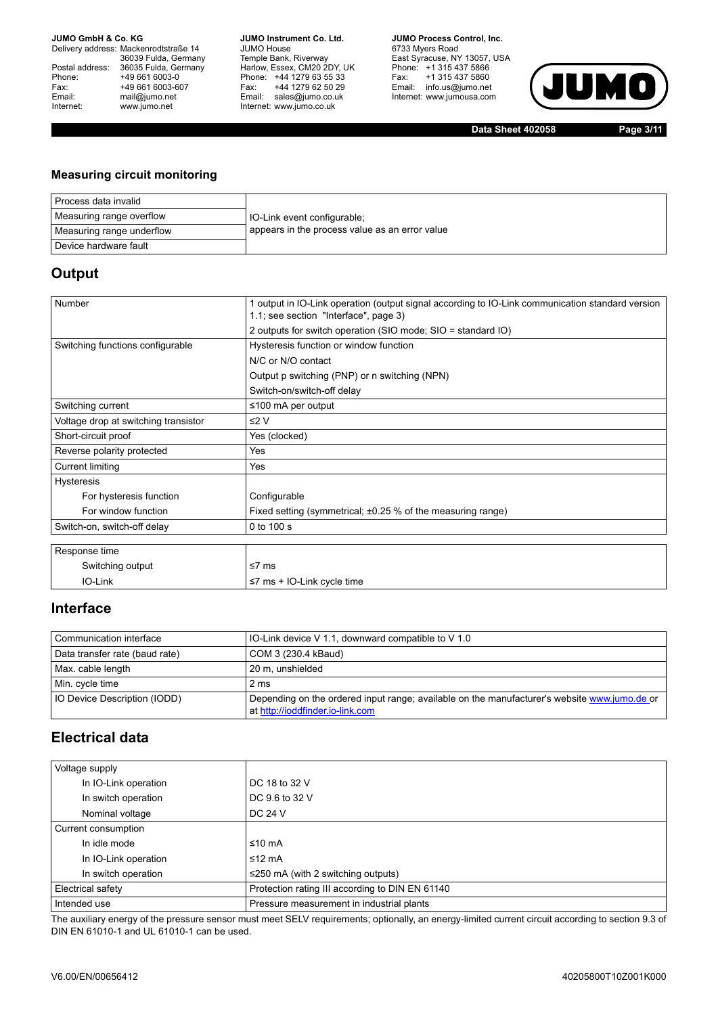Delivery address: Mackenrodtstraße 14 36039 Fulda, Germany<br>Postal address: 36035 Fulda, Germany Phone: +49 661 6003-0<br>
Fax: +49 661 6003-6<br>
Email: mail@jumo.net +49 661 6003-607 mail@jumo.net Internet: www.jumo.net

**JUMO Instrument Co. Ltd.** JUMO House Temple Bank, Riverway<br>Harlow, Essex, CM20 2DY, UK Phone: +44 1279 63 55 33<br>Fax: +44 1279 62 50 29 +44 1279 62 50 29 Email: sales@jumo.co.uk Internet: www.jumo.co.uk

**JUMO Process Control, Inc.** 6733 Myers Road East Syracuse, NY 13057, USA<br>Phone: +1 315 437 5866<br>Fax: +1 315 437 5860 Email: info.us@jumo.net Internet: www.jumousa.com



**Data Sheet 402058 Page 3/11**

### **Measuring circuit monitoring**

| Process data invalid      |                                                |
|---------------------------|------------------------------------------------|
| Measuring range overflow  | IO-Link event configurable;                    |
| Measuring range underflow | appears in the process value as an error value |
| Device hardware fault     |                                                |

### **Output**

| Number<br>1 output in IO-Link operation (output signal according to IO-Link communication standard version<br>1.1; see section "Interface", page 3)<br>2 outputs for switch operation (SIO mode; SIO = standard IO)<br>Switching functions configurable<br>Hysteresis function or window function<br>N/C or N/O contact<br>Output p switching (PNP) or n switching (NPN)<br>Switch-on/switch-off delay<br>Switching current<br>≤100 mA per output<br>≤2 $V$<br>Voltage drop at switching transistor<br>Yes (clocked)<br>Short-circuit proof<br>Reverse polarity protected<br>Yes<br><b>Current limiting</b><br>Yes<br><b>Hysteresis</b><br>Configurable<br>For hysteresis function<br>For window function<br>Fixed setting (symmetrical; $\pm 0.25$ % of the measuring range)<br>0 to 100 s<br>Switch-on, switch-off delay<br>Response time<br>Switching output<br>≤7 $ms$<br>IO-Link |                                  |  |
|---------------------------------------------------------------------------------------------------------------------------------------------------------------------------------------------------------------------------------------------------------------------------------------------------------------------------------------------------------------------------------------------------------------------------------------------------------------------------------------------------------------------------------------------------------------------------------------------------------------------------------------------------------------------------------------------------------------------------------------------------------------------------------------------------------------------------------------------------------------------------------------|----------------------------------|--|
|                                                                                                                                                                                                                                                                                                                                                                                                                                                                                                                                                                                                                                                                                                                                                                                                                                                                                       |                                  |  |
|                                                                                                                                                                                                                                                                                                                                                                                                                                                                                                                                                                                                                                                                                                                                                                                                                                                                                       |                                  |  |
|                                                                                                                                                                                                                                                                                                                                                                                                                                                                                                                                                                                                                                                                                                                                                                                                                                                                                       |                                  |  |
|                                                                                                                                                                                                                                                                                                                                                                                                                                                                                                                                                                                                                                                                                                                                                                                                                                                                                       |                                  |  |
|                                                                                                                                                                                                                                                                                                                                                                                                                                                                                                                                                                                                                                                                                                                                                                                                                                                                                       |                                  |  |
|                                                                                                                                                                                                                                                                                                                                                                                                                                                                                                                                                                                                                                                                                                                                                                                                                                                                                       |                                  |  |
|                                                                                                                                                                                                                                                                                                                                                                                                                                                                                                                                                                                                                                                                                                                                                                                                                                                                                       |                                  |  |
|                                                                                                                                                                                                                                                                                                                                                                                                                                                                                                                                                                                                                                                                                                                                                                                                                                                                                       |                                  |  |
|                                                                                                                                                                                                                                                                                                                                                                                                                                                                                                                                                                                                                                                                                                                                                                                                                                                                                       |                                  |  |
|                                                                                                                                                                                                                                                                                                                                                                                                                                                                                                                                                                                                                                                                                                                                                                                                                                                                                       |                                  |  |
|                                                                                                                                                                                                                                                                                                                                                                                                                                                                                                                                                                                                                                                                                                                                                                                                                                                                                       |                                  |  |
|                                                                                                                                                                                                                                                                                                                                                                                                                                                                                                                                                                                                                                                                                                                                                                                                                                                                                       |                                  |  |
|                                                                                                                                                                                                                                                                                                                                                                                                                                                                                                                                                                                                                                                                                                                                                                                                                                                                                       |                                  |  |
|                                                                                                                                                                                                                                                                                                                                                                                                                                                                                                                                                                                                                                                                                                                                                                                                                                                                                       |                                  |  |
|                                                                                                                                                                                                                                                                                                                                                                                                                                                                                                                                                                                                                                                                                                                                                                                                                                                                                       |                                  |  |
|                                                                                                                                                                                                                                                                                                                                                                                                                                                                                                                                                                                                                                                                                                                                                                                                                                                                                       |                                  |  |
|                                                                                                                                                                                                                                                                                                                                                                                                                                                                                                                                                                                                                                                                                                                                                                                                                                                                                       |                                  |  |
|                                                                                                                                                                                                                                                                                                                                                                                                                                                                                                                                                                                                                                                                                                                                                                                                                                                                                       |                                  |  |
|                                                                                                                                                                                                                                                                                                                                                                                                                                                                                                                                                                                                                                                                                                                                                                                                                                                                                       |                                  |  |
|                                                                                                                                                                                                                                                                                                                                                                                                                                                                                                                                                                                                                                                                                                                                                                                                                                                                                       | $\leq$ 7 ms + IO-Link cycle time |  |

### **Interface**

| Communication interface             | IO-Link device V 1.1, downward compatible to V 1.0                                                                               |  |  |
|-------------------------------------|----------------------------------------------------------------------------------------------------------------------------------|--|--|
| Data transfer rate (baud rate)      | COM 3 (230.4 kBaud)                                                                                                              |  |  |
| Max. cable length                   | 20 m. unshielded                                                                                                                 |  |  |
| Min. cycle time                     | 2 ms                                                                                                                             |  |  |
| <b>IO Device Description (IODD)</b> | Depending on the ordered input range; available on the manufacturer's website www.jumo.de or<br>at http://ioddfinder.io-link.com |  |  |

## **Electrical data**

| Voltage supply       |                                                 |
|----------------------|-------------------------------------------------|
| In IO-Link operation | DC 18 to 32 V                                   |
| In switch operation  | DC 9.6 to 32 V                                  |
| Nominal voltage      | DC 24 V                                         |
| Current consumption  |                                                 |
| In idle mode         | ≤10 mA                                          |
| In IO-Link operation | ≤12 mA                                          |
| In switch operation  | $\leq$ 250 mA (with 2 switching outputs)        |
| Electrical safety    | Protection rating III according to DIN EN 61140 |
| Intended use         | Pressure measurement in industrial plants       |

The auxiliary energy of the pressure sensor must meet SELV requirements; optionally, an energy-limited current circuit according to section 9.3 of DIN EN 61010-1 and UL 61010-1 can be used.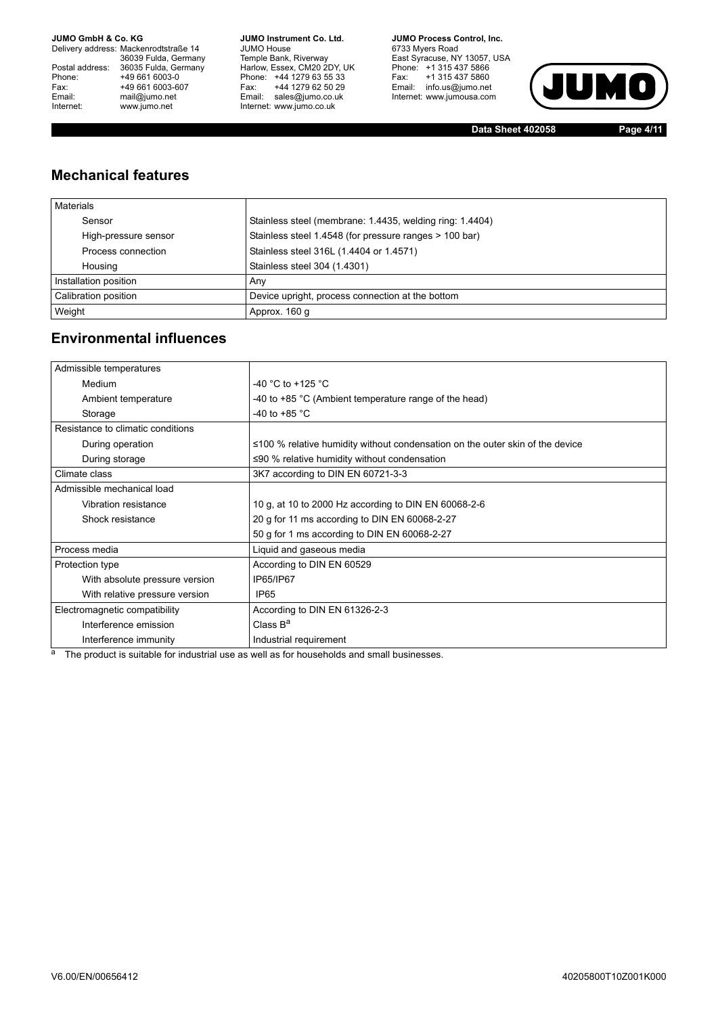Delivery address: Mackenrodtstraße 14 36039 Fulda, Germany<br>Postal address: 36035 Fulda, Germany Phone: +49 661 6003-0<br>
Fax: +49 661 6003-6<br>
Email: mail@jumo.net +49 661 6003-607 Email: mail@jumo.net<br>Internet: www.iumo.net www.jumo.net

**JUMO Instrument Co. Ltd.** JUMO House Temple Bank, Riverway<br>Harlow, Essex, CM20 2DY, UK Phone: +44 1279 63 55 33<br>Fax: +44 1279 62 50 29 Fax: +44 1279 62 50 29<br>Email: sales@jumo.co.uk Internet: www.jumo.co.uk

**JUMO Process Control. Inc.** 6733 Myers Road East Syracuse, NY 13057, USA<br>Phone: +1 315 437 5866<br>Fax: +1 315 437 5860 Email: info.us@jumo.net Internet: www.jumousa.com



**Data Sheet 402058 Page 4/11**

## **Mechanical features**

| <b>Materials</b>      |                                                          |
|-----------------------|----------------------------------------------------------|
| Sensor                | Stainless steel (membrane: 1.4435, welding ring: 1.4404) |
| High-pressure sensor  | Stainless steel 1.4548 (for pressure ranges > 100 bar)   |
| Process connection    | Stainless steel 316L (1.4404 or 1.4571)                  |
| Housing               | Stainless steel 304 (1.4301)                             |
| Installation position | Any                                                      |
| Calibration position  | Device upright, process connection at the bottom         |
| Weight                | Approx. 160 q                                            |

### **Environmental influences**

| Admissible temperatures           |                                                                                     |
|-----------------------------------|-------------------------------------------------------------------------------------|
| Medium                            | -40 °C to +125 °C                                                                   |
| Ambient temperature               | -40 to $+85$ °C (Ambient temperature range of the head)                             |
| Storage                           | -40 to +85 $^{\circ}$ C                                                             |
| Resistance to climatic conditions |                                                                                     |
| During operation                  | $\leq$ 100 % relative humidity without condensation on the outer skin of the device |
| During storage                    | $\leq 90$ % relative humidity without condensation                                  |
| Climate class                     | 3K7 according to DIN EN 60721-3-3                                                   |
| Admissible mechanical load        |                                                                                     |
| Vibration resistance              | 10 g, at 10 to 2000 Hz according to DIN EN 60068-2-6                                |
| Shock resistance                  | 20 g for 11 ms according to DIN EN 60068-2-27                                       |
|                                   | 50 g for 1 ms according to DIN EN 60068-2-27                                        |
| Process media                     | Liquid and gaseous media                                                            |
| Protection type                   | According to DIN EN 60529                                                           |
| With absolute pressure version    | IP65/IP67                                                                           |
| With relative pressure version    | IP <sub>65</sub>                                                                    |
| Electromagnetic compatibility     | According to DIN EN 61326-2-3                                                       |
| Interference emission             | Class $B^a$                                                                         |
| Interference immunity             | Industrial requirement                                                              |

<sup>a</sup> The product is suitable for industrial use as well as for households and small businesses.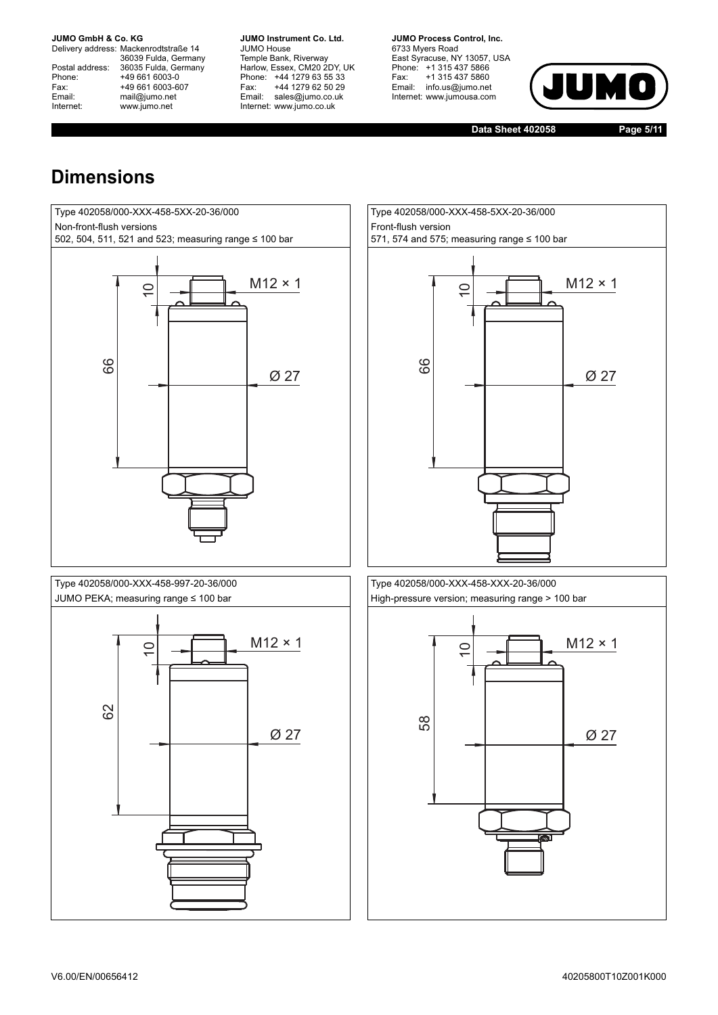Delivery address: Mackenrodtstraße 14 36039 Fulda, Germany<br>Postal address: 36035 Fulda, Germany Phone: +49 661 6003-0<br>
Fax: +49 661 6003-6<br>
Email: mail@jumo.net +49 661 6003-607 mail@jumo.net Internet: www.jumo.net

**JUMO Instrument Co. Ltd.** JUMO House Temple Bank, Riverway<br>Harlow, Essex, CM20 2DY, UK Phone: +44 1279 63 55 33<br>Fax: +44 1279 62 50 29 Fax: +44 1279 62 50 29<br>Email: sales@jumo.co.uk sales@jumo.co.uk Internet: www.jumo.co.uk

**JUMO Process Control. Inc.** 6733 Myers Road East Syracuse, NY 13057, USA<br>Phone: +1 315 437 5866<br>Fax: +1 315 437 5860 Email: info.us@jumo.net Internet: www.jumousa.com



**Data Sheet 402058 Page 5/11**

## **Dimensions**





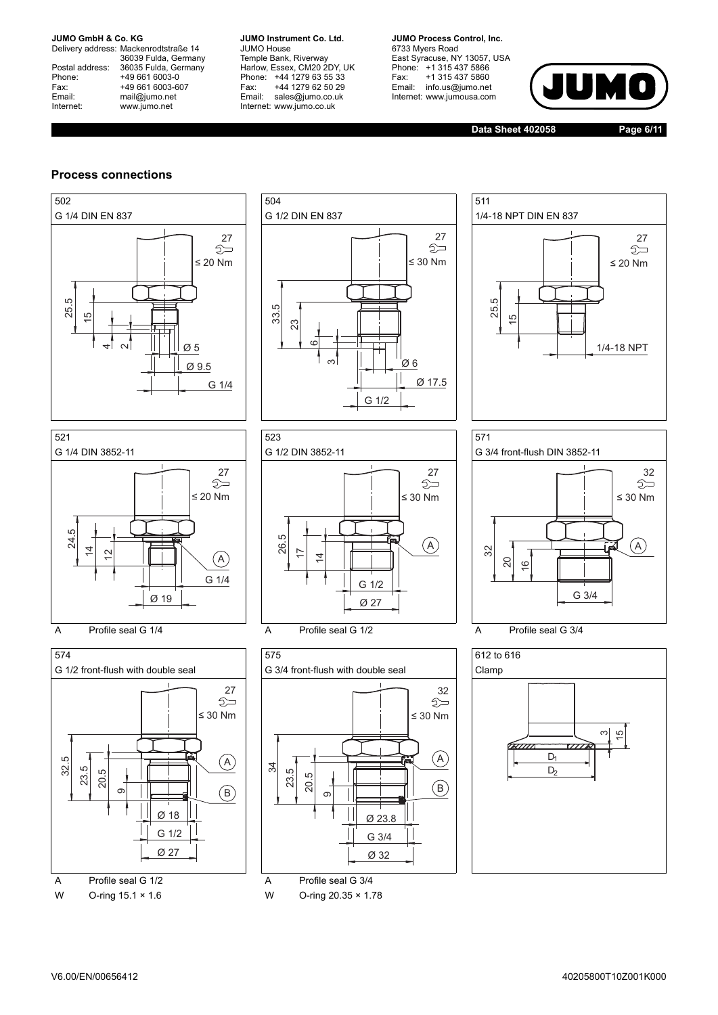Delivery address: Mackenrodtstraße 14 36039 Fulda, Germany<br>Postal address: 36035 Fulda, Germany Phone: +49 661 6003-0<br>
Fax: +49 661 6003-6<br>
Email: mail@jumo.net +49 661 6003-607 mail@jumo.net Internet: www.jumo.net

**JUMO Instrument Co. Ltd.** JUMO House Temple Bank, Riverway<br>Harlow, Essex, CM20 2DY, UK Phone: +44 1279 63 55 33<br>Fax: +44 1279 62 50 29 Fax: +44 1279 62 50 29<br>Email: sales@iumo.co.uk sales@jumo.co.uk Internet: www.jumo.co.uk

**JUMO Process Control, Inc.** 6733 Myers Road East Syracuse, NY 13057, USA Phone: +1 315 437 5866<br>Fax: +1 315 437 5860 +1 315 437 5860 Email: info.us@jumo.net Internet: www.jumousa.com



**Data Sheet 402058 Page 6/11**

#### **Process connections**



W O-ring 15.1 × 1.6 W O-ring 20.35 × 1.78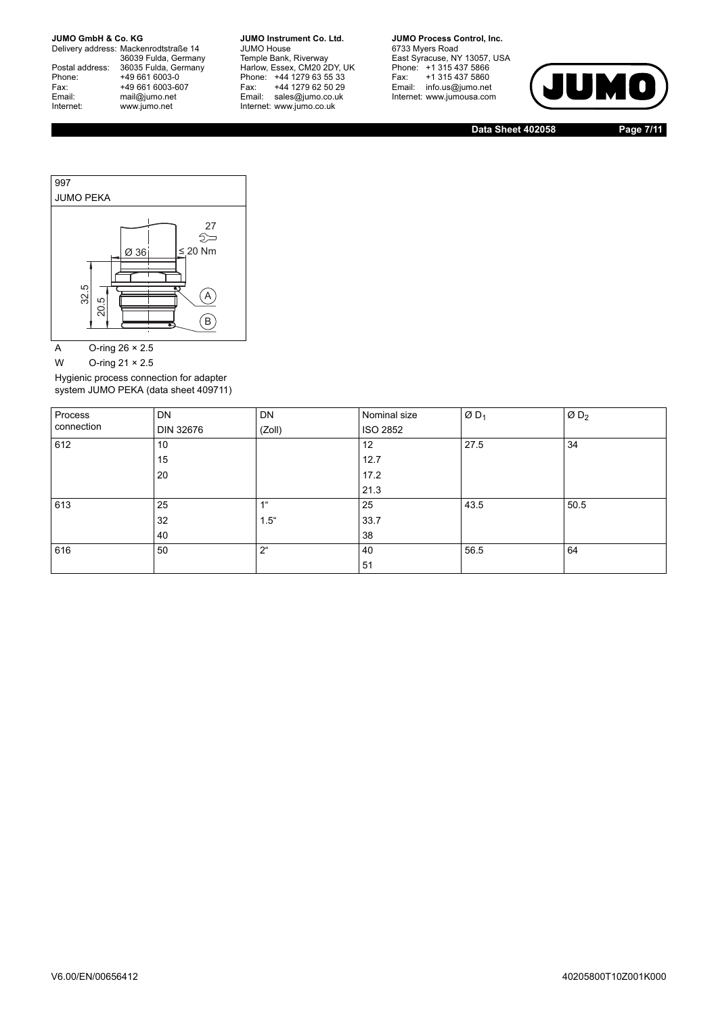Delivery address: Mackenrodtstraße 14 36039 Fulda, Germany<br>Postal address: 36035 Fulda, Germany Phone: +49 661 6003-0<br>
Fax: +49 661 6003-6<br>
Email: mail@jumo.net +49 661 6003-607 Email: mail@jumo.net<br>Internet: www.iumo.net www.jumo.net

**JUMO Instrument Co. Ltd.** JUMO House Temple Bank, Riverway<br>Harlow, Essex, CM20 2DY, UK Phone: +44 1279 63 55 33<br>Fax: +44 1279 62 50 29 +44 1279 62 50 29 Email: sales@jumo.co.uk Internet: www.jumo.co.uk

**JUMO Process Control, Inc.** 6733 Myers Road East Syracuse, NY 13057, USA<br>Phone: +1 315 437 5866<br>Fax: +1 315 437 5860  $P$ <sup>1</sup> 313 437 3000<br>Email: info.us@jumo.net Internet: www.jumousa.com



**Data Sheet 402058 Page 7/11**



A O-ring  $26 \times 2.5$ 

W O-ring 21 × 2.5

Hygienic process connection for adapter system JUMO PEKA (data sheet 409711)

| Process    | <b>DN</b> | DN             | Nominal size | $ØD_1$ | ØD <sub>2</sub> |
|------------|-----------|----------------|--------------|--------|-----------------|
| connection | DIN 32676 | (Zoll)         | ISO 2852     |        |                 |
| 612        | 10        |                | 12           | 27.5   | 34              |
|            | 15        |                | 12.7         |        |                 |
|            | 20        |                | 17.2         |        |                 |
|            |           |                | 21.3         |        |                 |
| 613        | 25        | 4%             | 25           | 43.5   | 50.5            |
|            | 32        | $1.5^{\circ}$  | 33.7         |        |                 |
|            | 40        |                | 38           |        |                 |
| 616        | 50        | 2 <sup>u</sup> | 40           | 56.5   | 64              |
|            |           |                | 51           |        |                 |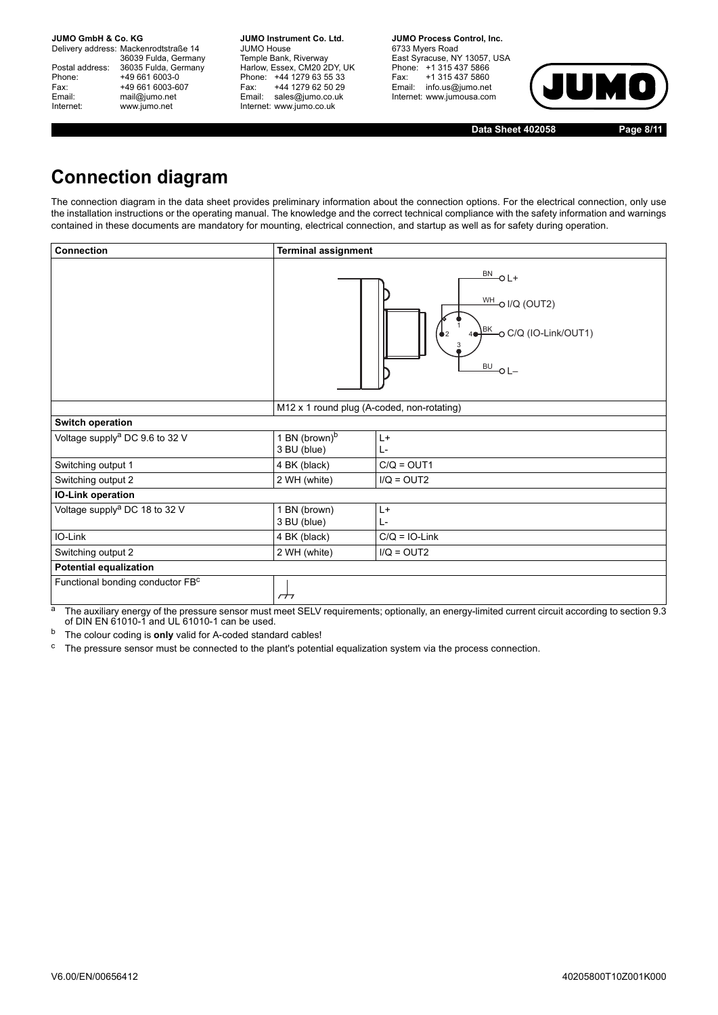Delivery address: Mackenrodtstraße 14 36039 Fulda, Germany Postal address: 36035 Fulda, Germany<br>Phone: +49 661 6003-0 Phone: +49 661 6003-0<br>
Fax: +49 661 6003-6<br>
Email: mail@jumo.net +49 661 6003-607 mail@jumo.net Internet: www.jumo.net

**JUMO Instrument Co. Ltd.** JUMO House Temple Bank, Riverway<br>Harlow, Essex, CM20 2DY, UK Phone: +44 1279 63 55 33<br>Fax: +44 1279 62 50 29 +44 1279 62 50 29 Email: sales@jumo.co.uk Internet: www.jumo.co.uk

**JUMO Process Control, Inc.** 6733 Myers Road East Syracuse, NY 13057, USA Phone: +1 315 437 5866<br>Fax: +1 315 437 5860 Email: info.us@jumo.net Internet: www.jumousa.com



**Data Sheet 402058 Page 8/11**

## **Connection diagram**

The connection diagram in the data sheet provides preliminary information about the connection options. For the electrical connection, only use the installation instructions or the operating manual. The knowledge and the correct technical compliance with the safety information and warnings contained in these documents are mandatory for mounting, electrical connection, and startup as well as for safety during operation.

| <b>Connection</b>                          | <b>Terminal assignment</b>                 |                                                                                                                                |
|--------------------------------------------|--------------------------------------------|--------------------------------------------------------------------------------------------------------------------------------|
|                                            |                                            | $\frac{BN}{C}$ OL+<br>$\frac{WH}{C}$ o I/Q (OUT2)<br>$\frac{\text{BE}}{\text{BE}}$ C/Q (IO-Link/OUT1)<br>$\underline{BU}$ O L- |
|                                            | M12 x 1 round plug (A-coded, non-rotating) |                                                                                                                                |
| <b>Switch operation</b>                    |                                            |                                                                                                                                |
| Voltage supply <sup>a</sup> DC 9.6 to 32 V | 1 BN (brown) <sup>b</sup><br>3 BU (blue)   | $L+$<br>L-                                                                                                                     |
| Switching output 1                         | 4 BK (black)                               | $C/Q = OUT1$                                                                                                                   |
| Switching output 2                         | 2 WH (white)                               | $I/Q = OUT2$                                                                                                                   |
| IO-Link operation                          |                                            |                                                                                                                                |
| Voltage supply <sup>a</sup> DC 18 to 32 V  | 1 BN (brown)<br>3 BU (blue)                | $L+$<br>$L -$                                                                                                                  |
| IO-Link                                    | 4 BK (black)                               | $C/Q = IO-Link$                                                                                                                |
| Switching output 2                         | 2 WH (white)                               | $I/Q = OUT2$                                                                                                                   |
| <b>Potential equalization</b>              |                                            |                                                                                                                                |
| Functional bonding conductor FBC           | $\overline{H}$                             |                                                                                                                                |

<sup>a</sup> The auxiliary energy of the pressure sensor must meet SELV requirements; optionally, an energy-limited current circuit according to section 9.3 of DIN EN 61010-1 and UL 61010-1 can be used.

<sup>b</sup> The colour coding is **only** valid for A-coded standard cables!

<sup>c</sup> The pressure sensor must be connected to the plant's potential equalization system via the process connection.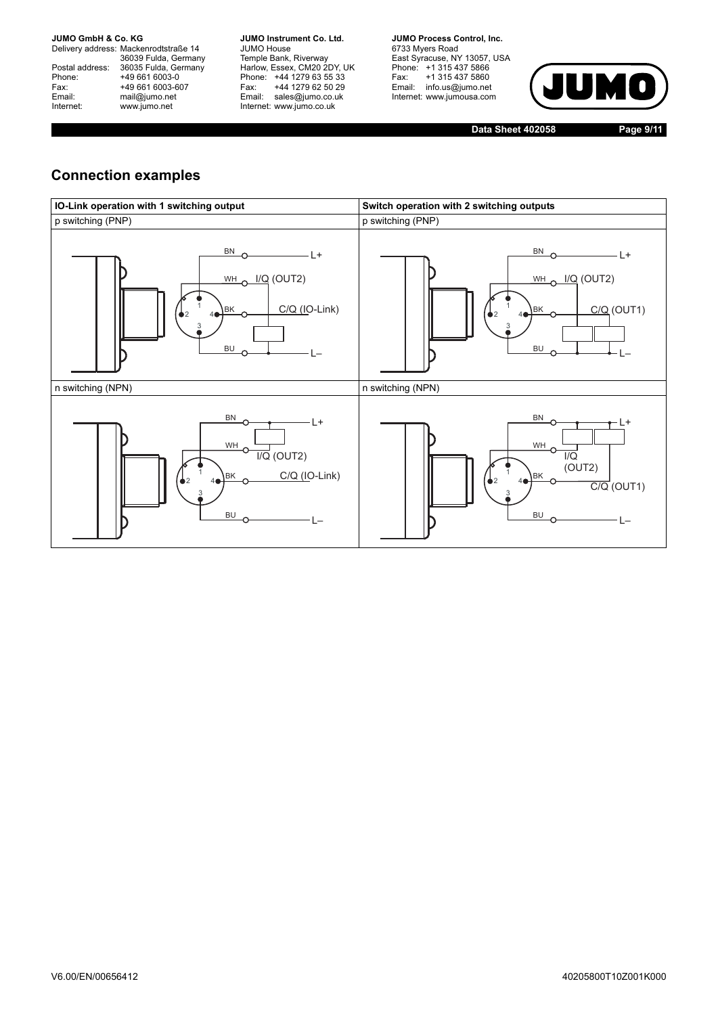Delivery address: Mackenrodtstraße 14 36039 Fulda, Germany<br>Postal address: 36035 Fulda, Germany Phone: +49 661 6003-0<br>
Fax: +49 661 6003-6<br>
Email: mail@jumo.net +49 661 6003-607 Email: mail@jumo.net<br>Internet: www.iumo.net www.jumo.net

**JUMO Instrument Co. Ltd.** JUMO House Temple Bank, Riverway<br>Harlow, Essex, CM20 2DY, UK Phone: +44 1279 63 55 33<br>Fax: +44 1279 62 50 29 +44 1279 62 50 29 Email: sales@jumo.co.uk Internet: www.jumo.co.uk

**JUMO Process Control. Inc.** 6733 Myers Road East Syracuse, NY 13057, USA<br>Phone: +1 315 437 5866<br>Fax: +1 315 437 5860 Email: info.us@jumo.net Internet: www.jumousa.com



**Data Sheet 402058 Page 9/11**

## **Connection examples**

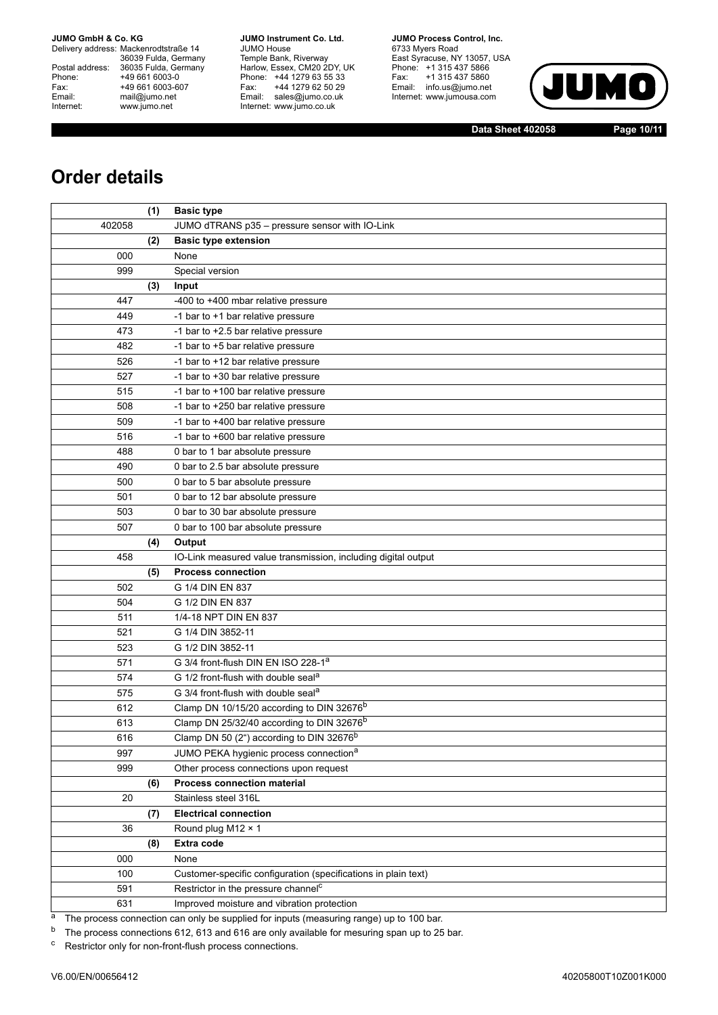Delivery address: Mackenrodtstraße 14 36039 Fulda, Germany<br>Postal address: 36035 Fulda, Germany Phone: +49 661 6003-0<br>
Fax: +49 661 6003-6<br>
Email: mail@jumo.net +49 661 6003-607 Email: mail@jumo.net<br>Internet: www.iumo.net www.jumo.net

**JUMO Instrument Co. Ltd.** JUMO House Temple Bank, Riverway<br>Harlow, Essex, CM20 2DY, UK Phone: +44 1279 63 55 33<br>Fax: +44 1279 62 50 29 +44 1279 62 50 29 Email: sales@jumo.co.uk Internet: www.jumo.co.uk

**JUMO Process Control, Inc.** 6733 Myers Road East Syracuse, NY 13057, USA<br>Phone: +1 315 437 5866<br>Fax: +1 315 437 5860  $P$ <sup>1</sup> 313 437 3000<br>Email: info.us@jumo.net Internet: www.jumousa.com



**Data Sheet 402058 Page 10/11**

## **Order details**

|        | (1) | <b>Basic type</b>                                              |  |
|--------|-----|----------------------------------------------------------------|--|
| 402058 |     | JUMO dTRANS p35 - pressure sensor with IO-Link                 |  |
|        | (2) | <b>Basic type extension</b>                                    |  |
| 000    |     | None                                                           |  |
| 999    |     | Special version                                                |  |
|        | (3) | Input                                                          |  |
| 447    |     | -400 to +400 mbar relative pressure                            |  |
| 449    |     | -1 bar to +1 bar relative pressure                             |  |
| 473    |     | -1 bar to +2.5 bar relative pressure                           |  |
| 482    |     | -1 bar to +5 bar relative pressure                             |  |
| 526    |     | -1 bar to +12 bar relative pressure                            |  |
| 527    |     | -1 bar to +30 bar relative pressure                            |  |
| 515    |     | -1 bar to +100 bar relative pressure                           |  |
| 508    |     | -1 bar to +250 bar relative pressure                           |  |
| 509    |     | -1 bar to +400 bar relative pressure                           |  |
| 516    |     | -1 bar to +600 bar relative pressure                           |  |
| 488    |     | 0 bar to 1 bar absolute pressure                               |  |
| 490    |     | 0 bar to 2.5 bar absolute pressure                             |  |
| 500    |     | 0 bar to 5 bar absolute pressure                               |  |
| 501    |     | 0 bar to 12 bar absolute pressure                              |  |
| 503    |     | 0 bar to 30 bar absolute pressure                              |  |
| 507    |     | 0 bar to 100 bar absolute pressure                             |  |
|        | (4) | Output                                                         |  |
| 458    |     | IO-Link measured value transmission, including digital output  |  |
|        | (5) | <b>Process connection</b>                                      |  |
| 502    |     | G 1/4 DIN EN 837                                               |  |
| 504    |     | G 1/2 DIN EN 837                                               |  |
| 511    |     | 1/4-18 NPT DIN EN 837                                          |  |
| 521    |     | G 1/4 DIN 3852-11                                              |  |
| 523    |     | G 1/2 DIN 3852-11                                              |  |
| 571    |     | G 3/4 front-flush DIN EN ISO 228-1 <sup>a</sup>                |  |
| 574    |     | G 1/2 front-flush with double seal <sup>a</sup>                |  |
| 575    |     | G 3/4 front-flush with double seal <sup>a</sup>                |  |
| 612    |     | Clamp DN 10/15/20 according to DIN 32676 <sup>b</sup>          |  |
| 613    |     | Clamp DN 25/32/40 according to DIN 32676 <sup>b</sup>          |  |
| 616    |     | Clamp DN 50 (2") according to DIN 32676 <sup>b</sup>           |  |
| 997    |     | JUMO PEKA hygienic process connection <sup>a</sup>             |  |
| 999    |     | Other process connections upon request                         |  |
|        | (6) | <b>Process connection material</b>                             |  |
| 20     |     | Stainless steel 316L                                           |  |
|        | (7) | <b>Electrical connection</b>                                   |  |
| 36     |     | Round plug M12 × 1                                             |  |
|        | (8) | <b>Extra code</b>                                              |  |
| 000    |     | None                                                           |  |
| 100    |     | Customer-specific configuration (specifications in plain text) |  |
| 591    |     | Restrictor in the pressure channel <sup>c</sup>                |  |
| 631    |     | Improved moisture and vibration protection                     |  |

 $\frac{a}{a}$  The process connection can only be supplied for inputs (measuring range) up to 100 bar.<br><sup>b</sup> The process connections 612, 613 and 616 are only available for mesuring span up to 25

The process connections 612, 613 and 616 are only available for mesuring span up to 25 bar.

<sup>c</sup> Restrictor only for non-front-flush process connections.